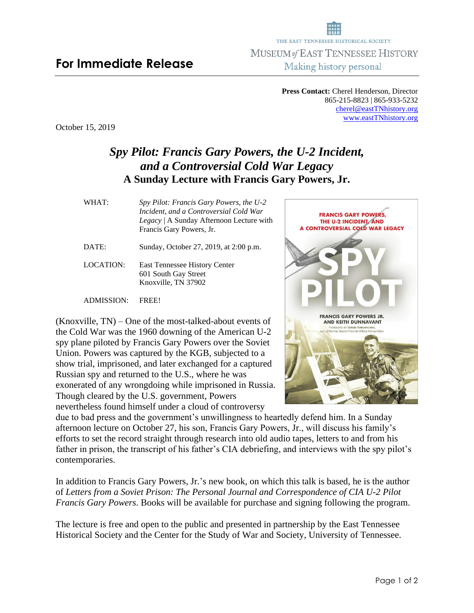## **For Immediate Release**

**Press Contact:** Cherel Henderson, Director 865-215-8823 | 865-933-5232 [cherel@eastTNhistory.org](mailto:cherel@eastTNhistory.org) [www.eastTNhistory.org](http://www.easttnhistory.org/)

October 15, 2019

## *Spy Pilot: Francis Gary Powers, the U-2 Incident, and a Controversial Cold War Legacy* **A Sunday Lecture with Francis Gary Powers, Jr.**

| WHAT: | Spy Pilot: Francis Gary Powers, the U-2  |
|-------|------------------------------------------|
|       | Incident, and a Controversial Cold War   |
|       | Legacy   A Sunday Afternoon Lecture with |
|       | Francis Gary Powers, Jr.                 |
|       |                                          |

- DATE: Sunday, October 27, 2019, at 2:00 p.m.
- LOCATION: East Tennessee History Center 601 South Gay Street Knoxville, TN 37902

ADMISSION: FREE!

(Knoxville, TN) – One of the most-talked-about events of the Cold War was the 1960 downing of the American U-2 spy plane piloted by Francis Gary Powers over the Soviet Union. Powers was captured by the KGB, subjected to a show trial, imprisoned, and later exchanged for a captured Russian spy and returned to the U.S., where he was exonerated of any wrongdoing while imprisoned in Russia. Though cleared by the U.S. government, Powers nevertheless found himself under a cloud of controversy

due to bad press and the government's unwillingness to heartedly defend him. In a Sunday afternoon lecture on October 27, his son, Francis Gary Powers, Jr., will discuss his family's efforts to set the record straight through research into old audio tapes, letters to and from his father in prison, the transcript of his father's CIA debriefing, and interviews with the spy pilot's contemporaries.

In addition to Francis Gary Powers, Jr.'s new book, on which this talk is based, he is the author of *Letters from a Soviet Prison: The Personal Journal and Correspondence of CIA U-2 Pilot Francis Gary Powers*. Books will be available for purchase and signing following the program.

The lecture is free and open to the public and presented in partnership by the East Tennessee Historical Society and the Center for the Study of War and Society, University of Tennessee.



THE EAST TENNESSEE HISTORICAL SOCIETY MUSEUM of EAST TENNESSEE HISTORY Making history personal